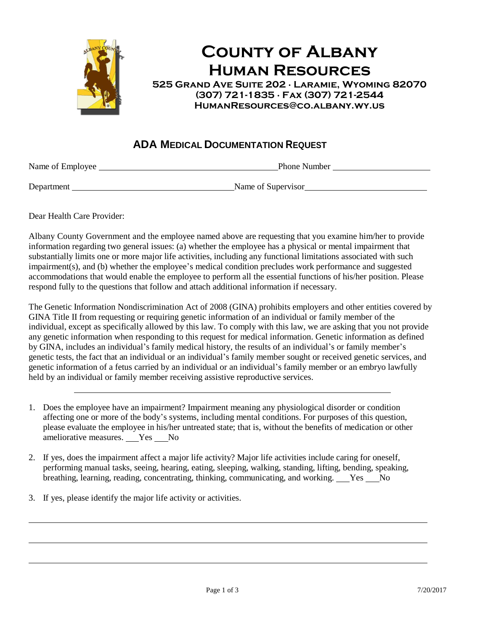

## **County of Albany Human Resources**

**525 Grand Ave Suite 202 ∙ Laramie, Wyoming 82070 (307) 721-1835 ∙ Fax (307) 721-2544 HumanResources@co.albany.wy.us**

## **ADA MEDICAL DOCUMENTATION REQUEST**

Name of Employee Phone Number

Department Name of Supervisor

Dear Health Care Provider:

Albany County Government and the employee named above are requesting that you examine him/her to provide information regarding two general issues: (a) whether the employee has a physical or mental impairment that substantially limits one or more major life activities, including any functional limitations associated with such impairment(s), and (b) whether the employee's medical condition precludes work performance and suggested accommodations that would enable the employee to perform all the essential functions of his/her position. Please respond fully to the questions that follow and attach additional information if necessary.

The Genetic Information Nondiscrimination Act of 2008 (GINA) prohibits employers and other entities covered by GINA Title II from requesting or requiring genetic information of an individual or family member of the individual, except as specifically allowed by this law. To comply with this law, we are asking that you not provide any genetic information when responding to this request for medical information. Genetic information as defined by GINA, includes an individual's family medical history, the results of an individual's or family member's genetic tests, the fact that an individual or an individual's family member sought or received genetic services, and genetic information of a fetus carried by an individual or an individual's family member or an embryo lawfully held by an individual or family member receiving assistive reproductive services.

- 1. Does the employee have an impairment? Impairment meaning any physiological disorder or condition affecting one or more of the body's systems, including mental conditions. For purposes of this question, please evaluate the employee in his/her untreated state; that is, without the benefits of medication or other ameliorative measures. Yes No
- 2. If yes, does the impairment affect a major life activity? Major life activities include caring for oneself, performing manual tasks, seeing, hearing, eating, sleeping, walking, standing, lifting, bending, speaking, breathing, learning, reading, concentrating, thinking, communicating, and working. Yes No
- 3. If yes, please identify the major life activity or activities.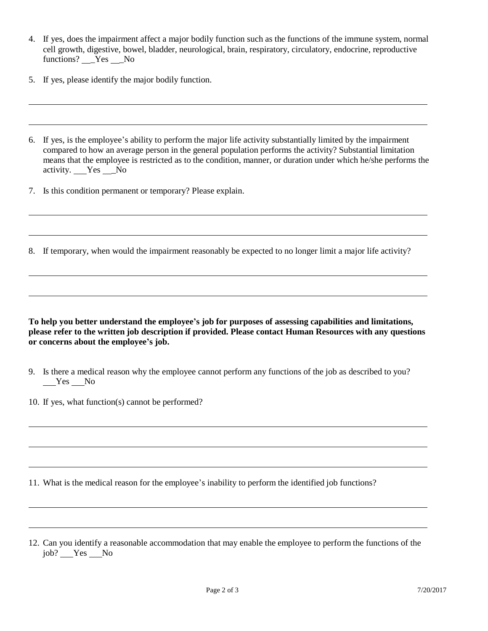- 4. If yes, does the impairment affect a major bodily function such as the functions of the immune system, normal cell growth, digestive, bowel, bladder, neurological, brain, respiratory, circulatory, endocrine, reproductive functions? \_\_Yes \_\_No
- 5. If yes, please identify the major bodily function.
- 6. If yes, is the employee's ability to perform the major life activity substantially limited by the impairment compared to how an average person in the general population performs the activity? Substantial limitation means that the employee is restricted as to the condition, manner, or duration under which he/she performs the activity. Yes \_\_No
- 7. Is this condition permanent or temporary? Please explain.
- 8. If temporary, when would the impairment reasonably be expected to no longer limit a major life activity?

**To help you better understand the employee's job for purposes of assessing capabilities and limitations, please refer to the written job description if provided. Please contact Human Resources with any questions or concerns about the employee's job.**

- 9. Is there a medical reason why the employee cannot perform any functions of the job as described to you? Yes No
- 10. If yes, what function(s) cannot be performed?

11. What is the medical reason for the employee's inability to perform the identified job functions?

<sup>12.</sup> Can you identify a reasonable accommodation that may enable the employee to perform the functions of the job? Yes No